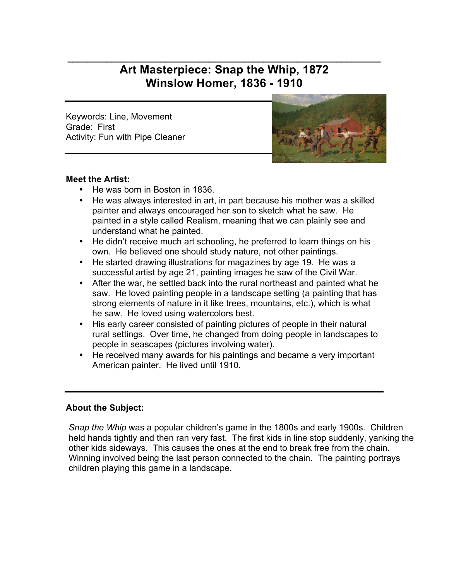# **\_\_\_\_\_\_\_\_\_\_\_\_\_\_\_\_\_\_\_\_\_\_\_\_\_\_\_\_\_\_\_\_\_\_\_\_\_\_\_\_\_\_\_\_\_\_\_\_\_\_\_\_\_\_\_\_\_\_\_\_\_\_\_\_ Art Masterpiece: Snap the Whip, 1872 Winslow Homer, 1836 - 1910**

Keywords: Line, Movement Grade: First Activity: Fun with Pipe Cleaner



#### **Meet the Artist:**

- He was born in Boston in 1836.
- He was always interested in art, in part because his mother was a skilled painter and always encouraged her son to sketch what he saw. He painted in a style called Realism, meaning that we can plainly see and understand what he painted.
- He didn't receive much art schooling, he preferred to learn things on his own. He believed one should study nature, not other paintings.
- He started drawing illustrations for magazines by age 19. He was a successful artist by age 21, painting images he saw of the Civil War.
- After the war, he settled back into the rural northeast and painted what he saw. He loved painting people in a landscape setting (a painting that has strong elements of nature in it like trees, mountains, etc.), which is what he saw. He loved using watercolors best.
- His early career consisted of painting pictures of people in their natural rural settings. Over time, he changed from doing people in landscapes to people in seascapes (pictures involving water).
- He received many awards for his paintings and became a very important American painter. He lived until 1910.

## **About the Subject:**

*Snap the Whip* was a popular children's game in the 1800s and early 1900s. Children held hands tightly and then ran very fast. The first kids in line stop suddenly, yanking the other kids sideways. This causes the ones at the end to break free from the chain. Winning involved being the last person connected to the chain. The painting portrays children playing this game in a landscape.